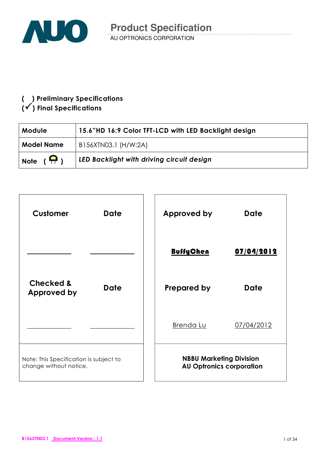

## ( ) Preliminary Specifications  $(\checkmark)$  Final Specifications

| <b>Module</b>     | 15.6"HD 16:9 Color TFT-LCD with LED Backlight design |
|-------------------|------------------------------------------------------|
| <b>Model Name</b> | B156XTN03.1 (H/W:2A)                                 |
| Note $(\bigcap)$  | LED Backlight with driving circuit design            |

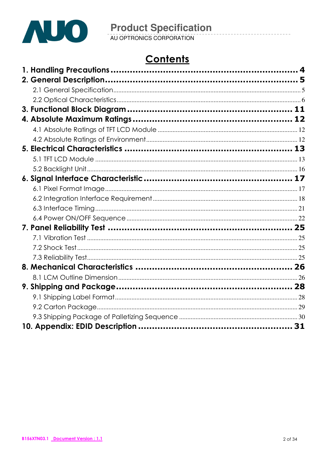

# Contents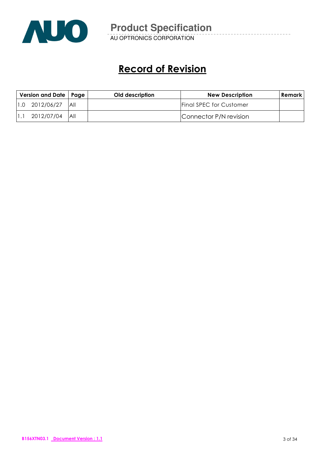

AU OPTRONICS CORPORATION

# Record of Revision

| Version and Date   Page |            | Old description | <b>New Description</b> | <b>Remark</b>                  |  |
|-------------------------|------------|-----------------|------------------------|--------------------------------|--|
| $\overline{1.0}$        | 2012/06/27 | -IAII           |                        | <b>Final SPEC for Customer</b> |  |
|                         | 2012/07/04 | <b>IAII</b>     |                        | Connector P/N revision         |  |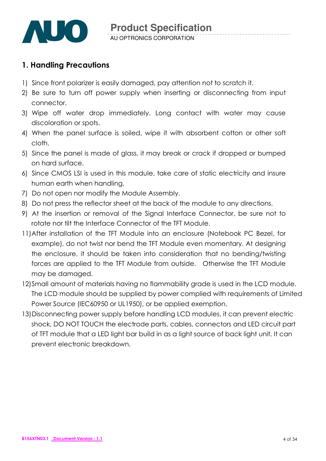

## 1. Handling Precautions

- 1) Since front polarizer is easily damaged, pay attention not to scratch it.
- 2) Be sure to turn off power supply when inserting or disconnecting from input connector.
- 3) Wipe off water drop immediately. Long contact with water may cause discoloration or spots.
- 4) When the panel surface is soiled, wipe it with absorbent cotton or other soft cloth.
- 5) Since the panel is made of glass, it may break or crack if dropped or bumped on hard surface.
- 6) Since CMOS LSI is used in this module, take care of static electricity and insure human earth when handling.
- 7) Do not open nor modify the Module Assembly.
- 8) Do not press the reflector sheet at the back of the module to any directions.
- 9) At the insertion or removal of the Signal Interface Connector, be sure not to rotate nor tilt the Interface Connector of the TFT Module.
- 11) After installation of the TFT Module into an enclosure (Notebook PC Bezel, for example), do not twist nor bend the TFT Module even momentary. At designing the enclosure, it should be taken into consideration that no bending/twisting forces are applied to the TFT Module from outside. Otherwise the TFT Module may be damaged.
- 12)Small amount of materials having no flammability grade is used in the LCD module. The LCD module should be supplied by power complied with requirements of Limited Power Source (IEC60950 or UL1950), or be applied exemption.
- 13)Disconnecting power supply before handling LCD modules, it can prevent electric shock, DO NOT TOUCH the electrode parts, cables, connectors and LED circuit part of TFT module that a LED light bar build in as a light source of back light unit. It can prevent electronic breakdown.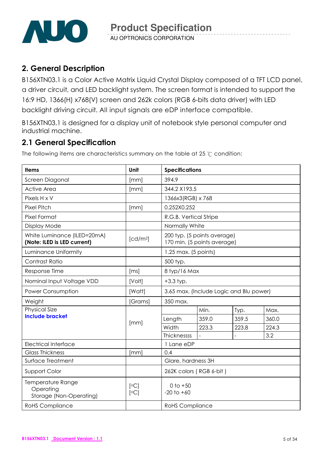

## 2. General Description

B156XTN03.1 is a Color Active Matrix Liquid Crystal Display composed of a TFT LCD panel, a driver circuit, and LED backlight system. The screen format is intended to support the 16:9 HD, 1366(H) x768(V) screen and 262k colors (RGB 6-bits data driver) with LED backlight driving circuit. All input signals are eDP interface compatible.

B156XTN03.1 is designed for a display unit of notebook style personal computer and industrial machine.

## 2.1 General Specification

The following items are characteristics summary on the table at 25  $\degree$ C condition:

| <b>Items</b>                                               | <b>Unit</b>          | <b>Specifications</b>                                      |       |       |       |  |
|------------------------------------------------------------|----------------------|------------------------------------------------------------|-------|-------|-------|--|
| Screen Diagonal                                            | [mm]                 | 394.9                                                      |       |       |       |  |
| <b>Active Area</b>                                         | [mm]                 | 344.2 X193.5                                               |       |       |       |  |
| Pixels H x V                                               |                      | 1366x3(RGB) x 768                                          |       |       |       |  |
| <b>Pixel Pitch</b>                                         | [mm]                 | 0.252X0.252                                                |       |       |       |  |
| Pixel Format                                               |                      | R.G.B. Vertical Stripe                                     |       |       |       |  |
| <b>Display Mode</b>                                        |                      | Normally White                                             |       |       |       |  |
| White Luminance (ILED=20mA)<br>(Note: ILED is LED current) | [cd/m <sup>2</sup> ] | 200 typ. (5 points average)<br>170 min. (5 points average) |       |       |       |  |
| Luminance Uniformity                                       |                      | 1.25 max. (5 points)                                       |       |       |       |  |
| Contrast Ratio                                             |                      | 500 typ.                                                   |       |       |       |  |
| Response Time                                              | [ms]                 | 8 typ/16 Max                                               |       |       |       |  |
| Nominal Input Voltage VDD                                  | [Volt]               | $+3.3$ typ.                                                |       |       |       |  |
| Power Consumption                                          | [Watt]               | 3.65 max. (Include Logic and Blu power)                    |       |       |       |  |
| Weight                                                     | [Grams]              | 350 max.                                                   |       |       |       |  |
| <b>Physical Size</b>                                       |                      |                                                            | Min.  | Typ.  | Max.  |  |
| <b>Include bracket</b>                                     | [mm]                 | Length                                                     | 359.0 | 359.5 | 360.0 |  |
|                                                            |                      | Width                                                      | 223.3 | 223.8 | 224.3 |  |
|                                                            |                      | Thicknessss                                                |       |       | 3.2   |  |
| <b>Electrical Interface</b>                                |                      | 1 Lane eDP                                                 |       |       |       |  |
| <b>Glass Thickness</b>                                     | [mm]                 | 0.4                                                        |       |       |       |  |
| Surface Treatment                                          |                      | Glare, hardness 3H                                         |       |       |       |  |
| Support Color                                              |                      | 262K colors (RGB 6-bit)                                    |       |       |       |  |
| Temperature Range<br>Operating<br>Storage (Non-Operating)  | [°C]<br>[°C]         | $0$ to $+50$<br>$-20$ to $+60$                             |       |       |       |  |
| <b>RoHS Compliance</b>                                     |                      | <b>RoHS</b> Compliance                                     |       |       |       |  |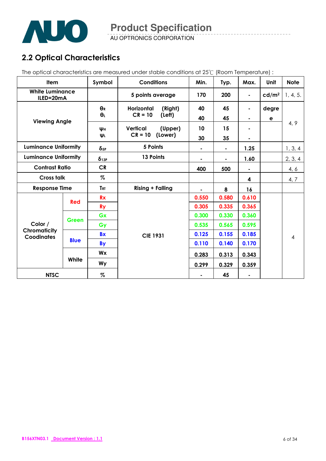

AU OPTRONICS CORPORATION

## 2.2 Optical Characteristics

The optical characteristics are measured under stable conditions at 25°C (Room Temperature) :

| Item                                |             | Symbol                              | <b>Conditions</b>          | Min.  | Typ.           | Max.                         | Unit              | <b>Note</b> |
|-------------------------------------|-------------|-------------------------------------|----------------------------|-------|----------------|------------------------------|-------------------|-------------|
| <b>White Luminance</b><br>ILED=20mA |             |                                     | 5 points average           | 170   | 200            | ٠                            | cd/m <sup>2</sup> | 1, 4, 5.    |
|                                     |             | $\Theta_R$<br>Horizontal<br>(Right) |                            | 40    | 45             | ۰                            | degre             |             |
| <b>Viewing Angle</b>                |             | $\theta_L$                          | $CR = 10$<br>(Left)        | 40    | 45             | $\qquad \qquad \blacksquare$ | e                 |             |
|                                     |             | Wн                                  | <b>Vertical</b><br>(Upper) | 10    | 15             |                              |                   | 4, 9        |
|                                     |             | ΨL                                  | $CR = 10$<br>(Lower)       | 30    | 35             | ٠                            |                   |             |
| <b>Luminance Uniformity</b>         |             | $\delta_{5P}$                       | 5 Points                   | ۰     | $\blacksquare$ | 1.25                         |                   | 1, 3, 4     |
| <b>Luminance Uniformity</b>         |             | $\delta$ 13P                        | 13 Points                  | ۰     | $\blacksquare$ | 1.60                         |                   | 2, 3, 4     |
| <b>Contrast Ratio</b>               |             | CR                                  |                            | 400   | 500            |                              |                   | 4, 6        |
| <b>Cross talk</b>                   |             | $\%$                                |                            |       |                | 4                            |                   | 4, 7        |
| <b>Response Time</b>                |             | <b>TRT</b>                          | <b>Rising + Falling</b>    | ۰     | 8              | 16                           |                   |             |
|                                     | Red         | <b>Rx</b>                           |                            | 0.550 | 0.580          | 0.610                        |                   |             |
|                                     |             | <b>Ry</b>                           |                            | 0.305 | 0.335          | 0.365                        |                   |             |
|                                     | Green       | Gx                                  |                            | 0.300 | 0.330          | 0.360                        |                   |             |
| Color /                             |             | Gy                                  |                            | 0.535 | 0.565          | 0.595                        |                   |             |
| Chromaticity<br><b>Coodinates</b>   |             | <b>Bx</b>                           | <b>CIE 1931</b>            | 0.125 | 0.155          | 0.185                        |                   | 4           |
|                                     | <b>Blue</b> | <b>By</b>                           |                            | 0.110 | 0.140          | 0.170                        |                   |             |
|                                     |             | Wx                                  |                            | 0.283 | 0.313          | 0.343                        |                   |             |
|                                     | White       | Wy                                  |                            | 0.299 | 0.329          | 0.359                        |                   |             |
| <b>NTSC</b>                         |             | %                                   |                            |       | 45             |                              |                   |             |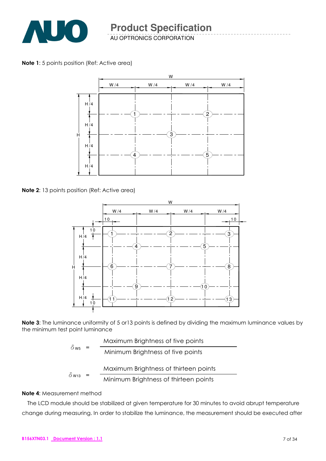

AU OPTRONICS CORPORATION

Note 1: 5 points position (Ref: Active area)



Note 2: 13 points position (Ref: Active area)



Note 3: The luminance uniformity of 5 or 13 points is defined by dividing the maximum luminance values by the minimum test point luminance

|                          | Maximum Brightness of five points     |
|--------------------------|---------------------------------------|
| $\delta$ W <sub>5</sub>  | Minimum Brightness of five points     |
|                          | Maximum Brightness of thirteen points |
| $\delta$ W <sub>13</sub> | Minimum Brightness of thirteen points |

#### Note 4: Measurement method

The LCD module should be stabilized at given temperature for 30 minutes to avoid abrupt temperature change during measuring. In order to stabilize the luminance, the measurement should be executed after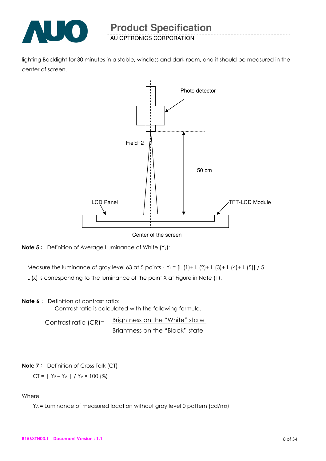

lighting Backlight for 30 minutes in a stable, windless and dark room, and it should be measured in the center of screen.





Measure the luminance of gray level 63 at 5 points  $Y_L = [L (1) + L (2) + L (3) + L (4) + L (5)] / 5$ 

L (x) is corresponding to the luminance of the point X at Figure in Note (1).

#### **Note 6:** Definition of contrast ratio:

Contrast ratio is calculated with the following formula.

Contrast ratio (CR)= Brightness on the "White" state Brightness on the "Black" state

#### **Note 7:** Definition of Cross Talk (CT)

 $CT = | Y_B - Y_A | / Y_A \times 100 (%)$ 

#### Where

YA = Luminance of measured location without gray level 0 pattern (cd/m2)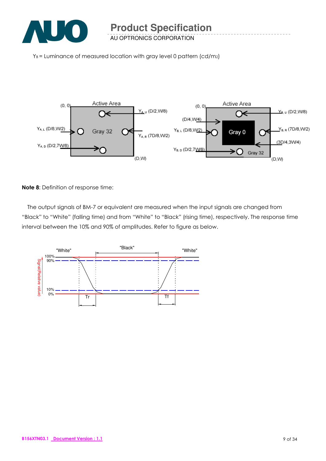

 $Y_B$  = Luminance of measured location with gray level 0 pattern (cd/m2)



Note 8: Definition of response time:

The output signals of BM-7 or equivalent are measured when the input signals are changed from "Black" to "White" (falling time) and from "White" to "Black" (rising time), respectively. The response time interval between the 10% and 90% of amplitudes. Refer to figure as below.

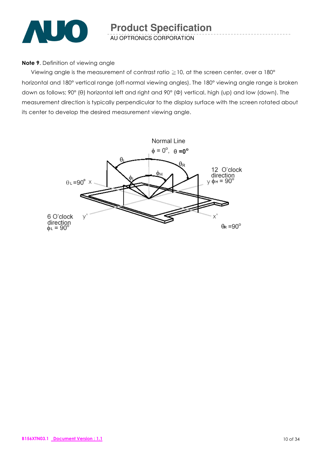

#### Note 9. Definition of viewing angle

Viewing angle is the measurement of contrast ratio  $\geq$  10, at the screen center, over a 180° horizontal and 180° vertical range (off-normal viewing angles). The 180° viewing angle range is broken down as follows; 90° (θ) horizontal left and right and 90° (Φ) vertical, high (up) and low (down). The measurement direction is typically perpendicular to the display surface with the screen rotated about its center to develop the desired measurement viewing angle.

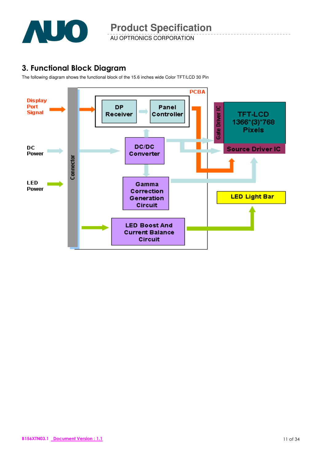

## 3. Functional Block Diagram

The following diagram shows the functional block of the 15.6 inches wide Color TFT/LCD 30 Pin

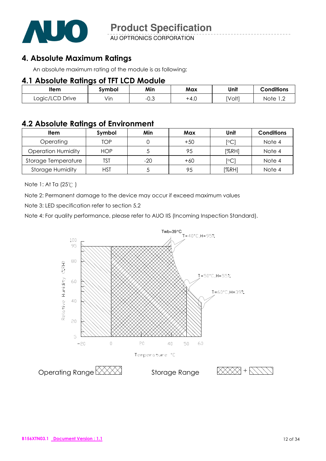

AU OPTRONICS CORPORATION

## 4. Absolute Maximum Ratings

An absolute maximum rating of the module is as following:

### 4.1 Absolute Ratings of TFT LCD Module

| <b>Item</b><br>Symbol |                      | Min  | Max  | Unit   | $\sim$ onditions                 |
|-----------------------|----------------------|------|------|--------|----------------------------------|
| Logic/LCD Drive       | $\cdot \cdot$<br>Vın | −∪.◡ | +4.∪ | [Volt] | Note<br>$\overline{\phantom{a}}$ |

## 4.2 Absolute Ratings of Environment

| <b>Item</b>               | Symbol     | Min   | Max   | Unit                    | <b>Conditions</b> |
|---------------------------|------------|-------|-------|-------------------------|-------------------|
| Operating                 | TOP        |       | $+50$ | $\lceil \circ C \rceil$ | Note 4            |
| <b>Operation Humidity</b> | <b>HOP</b> |       | 95    | [%RH]                   | Note 4            |
| Storage Temperature       | TST        | $-20$ | $+60$ | $\lceil \circ C \rceil$ | Note 4            |
| <b>Storage Humidity</b>   | HST        |       | 95    | [%RH]                   | Note 4            |

Note 1: At Ta  $(25^{\circ}C)$ 

Note 2: Permanent damage to the device may occur if exceed maximum values

Note 3: LED specification refer to section 5.2

Note 4: For quality performance, please refer to AUO IIS (Incoming Inspection Standard).

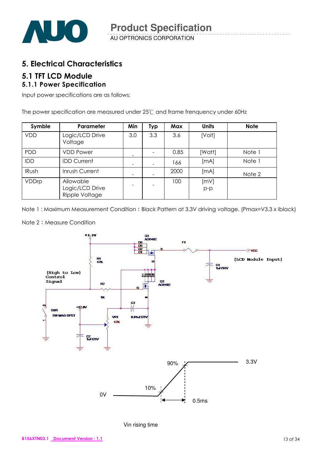

## 5. Electrical Characteristics

# 5.1 TFT LCD Module

## 5.1.1 Power Specification

Input power specifications are as follows;

The power specification are measured under 25°C and frame frenquency under 60Hz

| Symble       | Parameter                                      | Min                          | <b>Typ</b>               | Max  | <b>Units</b>  | <b>Note</b> |
|--------------|------------------------------------------------|------------------------------|--------------------------|------|---------------|-------------|
| <b>VDD</b>   | Logic/LCD Drive<br>Voltage                     | 3.0                          | 3.3                      | 3.6  | [Volt]        |             |
| <b>PDD</b>   | <b>VDD Power</b>                               | -                            |                          | 0.85 | [Watt]        | Note 1      |
| <b>IDD</b>   | <b>IDD Current</b>                             | $\qquad \qquad \blacksquare$ | -                        | 166  | [MA]          | Note 1      |
| <b>IRush</b> | Inrush Current                                 | $\overline{\phantom{0}}$     |                          | 2000 | [mA]          | Note 2      |
| VDDrp        | Allowable<br>Logic/LCD Drive<br>Ripple Voltage | $\overline{\phantom{a}}$     | $\overline{\phantom{0}}$ | 100  | [mV]<br>$p-p$ |             |

Note 1: Maximum Measurement Condition: Black Pattern at 3.3V driving voltage. (Pmax=V3.3 x Iblack)

#### Note 2: Measure Condition



Vin rising time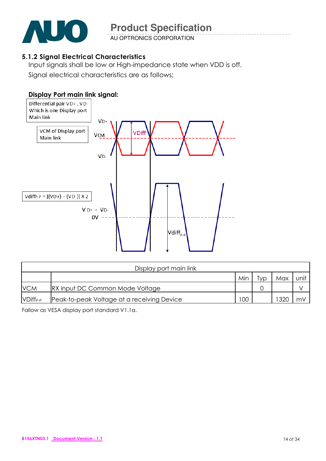

AU OPTRONICS CORPORATION

### 5.1.2 Signal Electrical Characteristics

Input signals shall be low or High-impedance state when VDD is off. Signal electrical characteristics are as follows;



|                      | Display port main link                     |     |     |      |      |  |  |  |  |
|----------------------|--------------------------------------------|-----|-----|------|------|--|--|--|--|
|                      |                                            | Min | Гvр | Max  | unit |  |  |  |  |
| <b>VCM</b>           | <b>IRX input DC Common Mode Voltage</b>    |     |     |      |      |  |  |  |  |
| VDiff <sub>P-P</sub> | Peak-to-peak Voltage at a receiving Device | 100 |     | 1320 | m۷   |  |  |  |  |

Fallow as VESA display port standard V1.1a.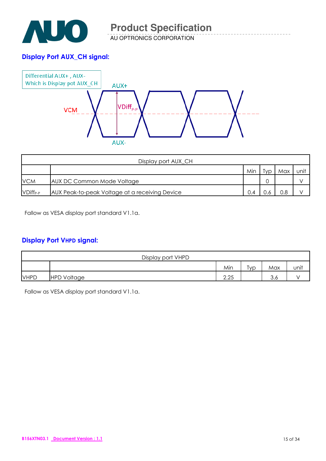

### Display Port AUX\_CH signal:



|               | Display port AUX_CH                            |     |     |     |      |  |  |  |
|---------------|------------------------------------------------|-----|-----|-----|------|--|--|--|
|               |                                                | Min | Ivp | Max | unit |  |  |  |
| <b>VCM</b>    | AUX DC Common Mode Voltage                     |     |     |     |      |  |  |  |
| $VDiff_{P-P}$ | AUX Peak-to-peak Voltage at a receiving Device | 0.4 |     | 0.8 |      |  |  |  |

Fallow as VESA display port standard V1.1a.

#### Display Port VHPD signal:

| Display port VHPD |                    |                  |     |     |      |  |  |
|-------------------|--------------------|------------------|-----|-----|------|--|--|
|                   |                    | Min              | ĪVD | Max | unit |  |  |
| <b>VHPD</b>       | <b>HPD Voltage</b> | $\Omega$<br>2.ZJ |     | 3.6 |      |  |  |

Fallow as VESA display port standard V1.1a.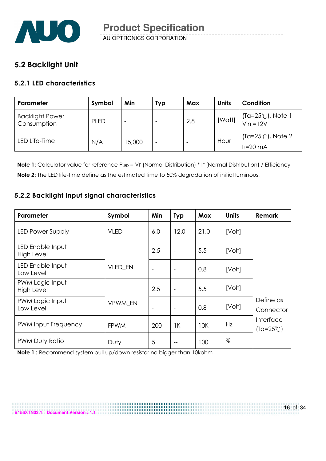

## 5.2 Backlight Unit

### 5.2.1 LED characteristics

| Parameter                             | Symbol      | Min    | Typ | Max | <b>Units</b> | Condition                                    |
|---------------------------------------|-------------|--------|-----|-----|--------------|----------------------------------------------|
| <b>Backlight Power</b><br>Consumption | <b>PLED</b> |        |     | 2.8 | [Watt]       | (Ta=25℃), Note 1<br>Vin =12V                 |
| LED Life-Time                         | N/A         | 15,000 | -   |     | Hour         | $(Ta=25^{\circ}C)$ , Note 2<br>$I_F = 20$ mA |

Note 1: Calculator value for reference PLED = VF (Normal Distribution) \* IF (Normal Distribution) / Efficiency Note 2: The LED life-time define as the estimated time to 50% degradation of initial luminous.

### 5.2.2 Backlight input signal characteristics

| Parameter                            | Symbol         | Min                      | <b>Typ</b>               | Max  | <b>Units</b> | <b>Remark</b>                   |
|--------------------------------------|----------------|--------------------------|--------------------------|------|--------------|---------------------------------|
| <b>LED Power Supply</b>              | <b>VLED</b>    | 6.0                      | 12.0                     | 21.0 | [Volt]       |                                 |
| LED Enable Input<br>High Level       |                | 2.5                      | $\overline{\phantom{a}}$ | 5.5  | [Volt]       |                                 |
| LED Enable Input<br>Low Level        | <b>VLED EN</b> | $\overline{\phantom{a}}$ | $\overline{\phantom{a}}$ | 0.8  | [Volt]       |                                 |
| PWM Logic Input<br><b>High Level</b> |                | 2.5                      |                          | 5.5  | [Volt]       |                                 |
| PWM Logic Input<br>Low Level         | VPWM EN        |                          | $\overline{\phantom{a}}$ | 0.8  | [Volt]       | Define as<br>Connector          |
| <b>PWM Input Frequency</b>           | <b>FPWM</b>    | 200                      | 1K                       | 10K  | Hz           | Interface<br>$(Ta=25^{\circ}C)$ |
| PWM Duty Ratio                       | Duty           | 5                        | --                       | 100  | %            |                                 |

Note 1 : Recommend system pull up/down resistor no bigger than 10kohm

**B156XTN03.1 Document Version : 1.1**

16 of 34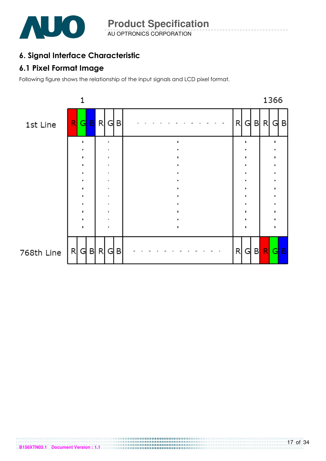

## 6. Signal Interface Characteristic

## 6.1 Pixel Format Image

Following figure shows the relationship of the input signals and LCD pixel format.

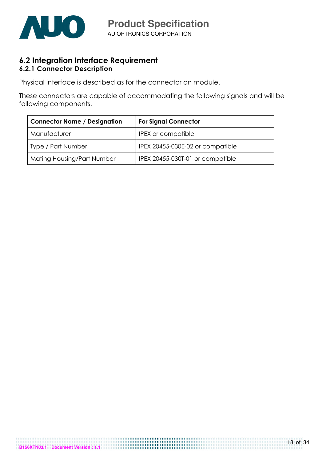

### 6.2 Integration Interface Requirement 6.2.1 Connector Description

Physical interface is described as for the connector on module.

These connectors are capable of accommodating the following signals and will be following components.

| <b>Connector Name / Designation</b> | <b>For Signal Connector</b>      |
|-------------------------------------|----------------------------------|
| Manufacturer                        | <b>IPEX</b> or compatible        |
| <b>Type / Part Number</b>           | IPEX 20455-030E-02 or compatible |
| Mating Housing/Part Number          | IPEX 20455-030T-01 or compatible |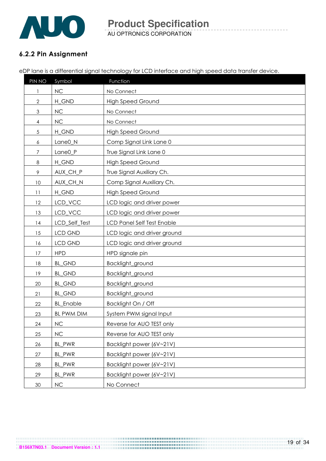

AU OPTRONICS CORPORATION **Product Specification** 

### 6.2.2 Pin Assignment

eDP lane is a differential signal technology for LCD interface and high speed data transfer device.

| PIN NO         | Symbol              | Function                          |
|----------------|---------------------|-----------------------------------|
|                | NC                  | No Connect                        |
| $\mathbf{2}$   | H_GND               | <b>High Speed Ground</b>          |
| 3              | NC                  | No Connect                        |
| $\overline{4}$ | NC                  | No Connect                        |
| $\sqrt{5}$     | H_GND               | <b>High Speed Ground</b>          |
| 6              | Lane0_N             | Comp Signal Link Lane 0           |
| 7              | Lane <sub>0_P</sub> | True Signal Link Lane 0           |
| 8              | H_GND               | <b>High Speed Ground</b>          |
| 9              | AUX_CH_P            | True Signal Auxiliary Ch.         |
| 10             | AUX_CH_N            | Comp Signal Auxiliary Ch.         |
| 11             | H_GND               | <b>High Speed Ground</b>          |
| 12             | LCD_VCC             | LCD logic and driver power        |
| 13             | LCD_VCC             | LCD logic and driver power        |
| 14             | LCD_Self_Test       | <b>LCD Panel Self Test Enable</b> |
| 15             | <b>LCD GND</b>      | LCD logic and driver ground       |
| 16             | <b>LCD GND</b>      | LCD logic and driver ground       |
| 17             | <b>HPD</b>          | HPD signale pin                   |
| 18             | <b>BL_GND</b>       | Backlight_ground                  |
| 19             | <b>BL_GND</b>       | Backlight_ground                  |
| 20             | <b>BL_GND</b>       | Backlight_ground                  |
| 21             | <b>BL_GND</b>       | Backlight_ground                  |
| 22             | <b>BL_Enable</b>    | Backlight On / Off                |
| 23             | BL PWM DIM          | System PWM signal Input           |
| 24             | NC                  | Reverse for AUO TEST only         |
| 25             | $NC$                | Reverse for AUO TEST only         |
| 26             | BL_PWR              | Backlight power (6V~21V)          |
| 27             | BL_PWR              | Backlight power (6V~21V)          |
| 28             | BL_PWR              | Backlight power (6V~21V)          |
| 29             | BL_PWR              | Backlight power (6V~21V)          |
| 30             | $\sf NC$            | No Connect                        |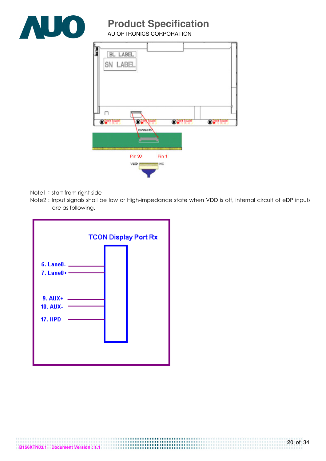

AU OPTRONICS CORPORATION

| BL LABEL<br>SN LABEL                                                                                           |                |                           |                        |                        |
|----------------------------------------------------------------------------------------------------------------|----------------|---------------------------|------------------------|------------------------|
| $\Box$<br><b>Digital Touch!</b>                                                                                | œ<br>Connector | Touch                     | <b>OD</b> DON'T Touch! | <b>OD</b> Don't Touch! |
| EMIS ENERGY BERGER EN ENERGY EN EN DER TRANSFERENT EIN EIN EIN DIE ENERGY BEI DER DIE ENERGY EIN EINER PROFILI |                |                           |                        |                        |
|                                                                                                                | Pin 30<br>VLED | Pin <sub>1</sub><br>$M$ C |                        |                        |

- Note1: start from right side
- Note2: Input signals shall be low or High-impedance state when VDD is off, internal circuit of eDP inputs are as following.

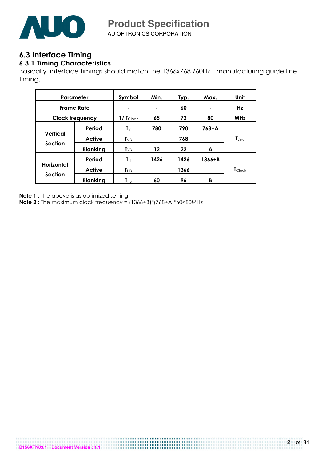

AU OPTRONICS CORPORATION **Product Specification** 

# 6.3 Interface Timing

### 6.3.1 Timing Characteristics

Basically, interface timings should match the 1366x768 /60Hz manufacturing guide line timing.

| Parameter                    |                 | Symbol                          | Min. | Typ.           | Max.   | Unit       |
|------------------------------|-----------------|---------------------------------|------|----------------|--------|------------|
| <b>Frame Rate</b>            |                 | ۰                               | ٠    | 60             | ۰      | Hz         |
| <b>Clock frequency</b>       |                 | $1/\mathsf{T}_{\textsf{Clock}}$ | 65   | 72             | 80     | <b>MHz</b> |
|                              | Period          | $\mathbf{T} \vee$               | 780  | 790            | 768+A  |            |
| Vertical                     | <b>Active</b>   | $\mathsf{T}_{\text{VD}}$        |      | $T_{Line}$     |        |            |
| <b>Section</b>               | <b>Blanking</b> | $T_{VB}$                        | 12   | 22             | A      |            |
| Horizontal<br><b>Section</b> | Period          | $T_{\rm H}$                     | 1426 | 1426           | 1366+B |            |
|                              | <b>Active</b>   | $T_{HD}$                        |      | <b>T</b> Clock |        |            |
|                              | <b>Blanking</b> | $T_{\rm HB}$                    | 60   | 96             | B      |            |

Note 1 : The above is as optimized setting

Note 2 : The maximum clock frequency = (1366+B)\*(768+A)\*60<80MHz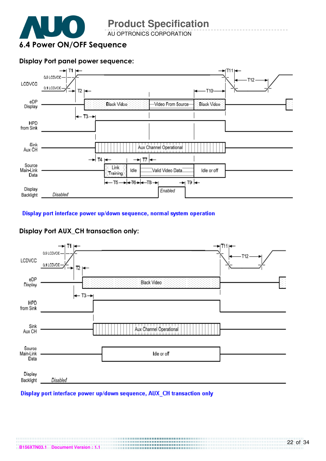

AU OPTRONICS CORPORATION

#### Display Port panel power sequence:



#### Display port interface power up/down sequence, normal system operation

#### 0.9 LCDVCC T12 LCDVCC 0.1 LCDVCC T<sub>2</sub> eDP Black Video Display  $\leftarrow$  T3  $\rightarrow$ **HPD** from Sink Sink Aux Channel Operational Aux CH Source Main-Link Idle or off Data Display Disabled Backlight

### Display Port AUX\_CH transaction only:

#### Display port interface power up/down sequence, AUX CH transaction only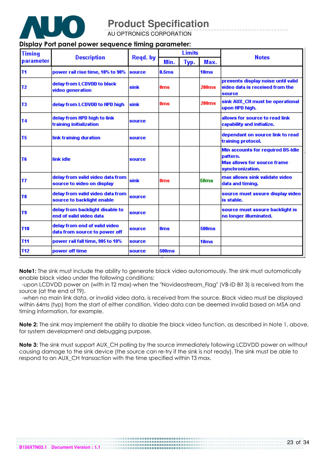

AU OPTRONICS CORPORATION

#### Display Port panel power sequence timing parameter:

| <b>Timing</b>  | <b>Description</b>                                             | Regd. by    | <b>Limits</b>     |      |                  | <b>Notes</b>                                                                                                    |
|----------------|----------------------------------------------------------------|-------------|-------------------|------|------------------|-----------------------------------------------------------------------------------------------------------------|
| parameter      |                                                                |             | Min.              | Typ. | Max.             |                                                                                                                 |
| T <sub>1</sub> | power rail rise time, 10% to 90%                               | source      | 0.5 <sub>ms</sub> |      | 10ms             |                                                                                                                 |
| T <sub>2</sub> | delay from LCDVDD to black<br>video generation                 | sink        | 0ms               |      | 200ms            | prevents display noise until valid<br>video data is received from the<br>source                                 |
| T <sub>3</sub> | delay from LCDVDD to HPD high                                  | <b>sink</b> | 0 <sub>ms</sub>   |      | 200ms            | sink AUX_CH must be operational<br>upon HPD high.                                                               |
| <b>T4</b>      | delay from HPD high to link<br>training initialization         | source      |                   |      |                  | allows for source to read link<br>capability and initialize.                                                    |
| T <sub>5</sub> | link training duration                                         | source      |                   |      |                  | dependant on source link to read<br>training protocol.                                                          |
| T <sub>6</sub> | link idle                                                      | source      |                   |      |                  | <b>Min accounts for required BS-Idle</b><br>loattern.<br><b>Max allows for source frame</b><br>synchronization. |
| lT7            | delay from valid video data from<br>source to video on display | sink        | 0 <sub>ms</sub>   |      | 50 <sub>ms</sub> | max allows sink validate video<br>data and timing.                                                              |
| T <sub>8</sub> | delay from valid video data from<br>source to backlight enable | source      |                   |      |                  | source must assure display video<br>is stable.                                                                  |
| T9             | delay from backlight disable to<br>end of valid video data     | source      |                   |      |                  | source must assure backlight is<br>no longer illuminated.                                                       |
| <b>T10</b>     | delay from end of valid video<br>data from source to power off | source      | 0 <sub>ms</sub>   |      | <b>500ms</b>     |                                                                                                                 |
| <b>T11</b>     | power rail fall time, 905 to 10%                               | source      |                   |      | 10ms             |                                                                                                                 |
| <b>T12</b>     | power off time                                                 | source      | 500ms             |      |                  |                                                                                                                 |

Note1: The sink must include the ability to generate black video autonomously. The sink must automatically enable black video under the following conditions:

 -upon LCDVDD power on (with in T2 max)-when the "Novideostream\_Flag" (VB-ID Bit 3) is received from the source (at the end of T9).

 -when no main link data, or invalid video data, is received from the source. Black video must be displayed within 64ms (typ) from the start of either condition. Video data can be deemed invalid based on MSA and timing information, for example.

Note 2: The sink may implement the ability to disable the black video function, as described in Note 1, above, for system development and debugging purpose.

Note 3: The sink must support AUX\_CH polling by the source immediately following LCDVDD power on without causing damage to the sink device (the source can re-try if the sink is not ready). The sink must be able to respond to an AUX\_CH transaction with the time specified within T3 max.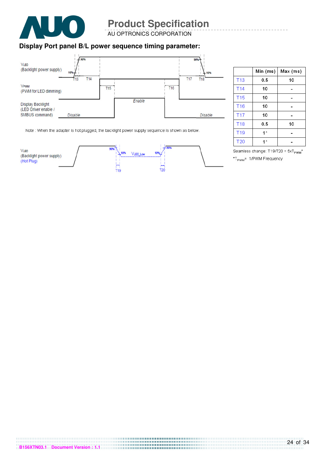

AU OPTRONICS CORPORATION

### **Display Port panel B/L power sequence timing parameter:**



|                 | Min (ms)       | Max (ms) |
|-----------------|----------------|----------|
| <b>T13</b>      | 0.5            | 10       |
| T <sub>14</sub> | 10             |          |
| T <sub>15</sub> | 10             |          |
| <b>T16</b>      | 10             |          |
| T17             | 10             |          |
| <b>T18</b>      | 0.5            | 10       |
| T <sub>19</sub> | $4 *$          |          |
| T <sub>20</sub> | $\pmb{\times}$ |          |

Note : When the adapter is hot plugged, the backlight power supply sequence is shown as below.



Seamless change: T19/T20 = 5xT<sub>PWM</sub>\* \*T<sub>PWM</sub>= 1/PWM Frequency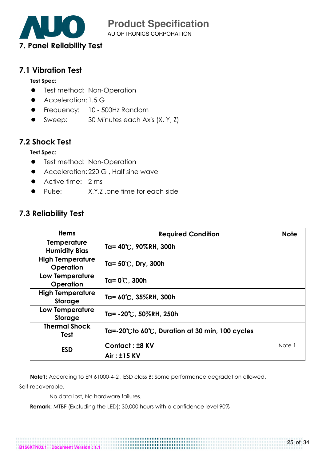

### 7.1 Vibration Test

#### Test Spec:

- **•** Test method: Non-Operation
- Acceleration: 1.5 G
- **•** Frequency: 10 500Hz Random
- Sweep: 30 Minutes each Axis (X, Y, Z)

## 7.2 Shock Test

### Test Spec:

- **•** Test method: Non-Operation
- Acceleration: 220 G, Half sine wave
- **Active time: 2 ms**
- Pulse: X, Y, Z, one time for each side

### 7.3 Reliability Test

| <b>Items</b>                                | <b>Required Condition</b>                                               | <b>Note</b> |
|---------------------------------------------|-------------------------------------------------------------------------|-------------|
| Temperature<br><b>Humidity Bias</b>         | Ta= 40℃, 90%RH, 300h                                                    |             |
| <b>High Temperature</b><br><b>Operation</b> | Ta= 50℃, Dry, 300h                                                      |             |
| <b>Low Temperature</b><br>Operation         | Ta= 0℃, 300h                                                            |             |
| <b>High Temperature</b><br>Storage          | Ta= 60℃, 35%RH, 300h                                                    |             |
| <b>Low Temperature</b><br>Storage           | Ta= -20℃, 50%RH, 250h                                                   |             |
| <b>Thermal Shock</b><br>Test                | $ $ Ta=-20 $\degree$ Cto 60 $\degree$ C, Duration at 30 min, 100 cycles |             |
| <b>ESD</b>                                  | Contact: ±8 KV                                                          | Note 1      |
|                                             | <b>Air: ±15 KV</b>                                                      |             |

Note1: According to EN 61000-4-2 , ESD class B: Some performance degradation allowed.

Self-recoverable.

No data lost, No hardware failures.

Remark: MTBF (Excluding the LED): 30,000 hours with a confidence level 90%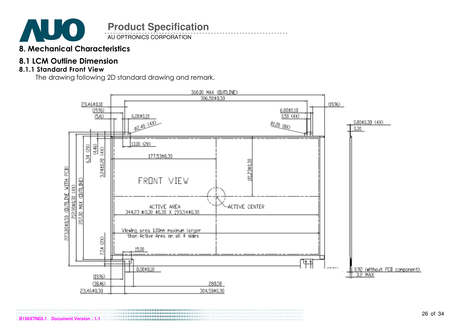

AU OPTRONICS CORPORATION

## 8. Mechanical Characteristics

## 8.1 LCM Outline Dimension

### 8.1.1 Standard Front View

The drawing following 2D standard drawing and remark.

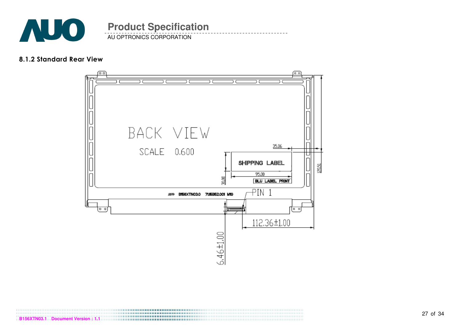

AU OPTRONICS CORPORATION **Product Specification** 

#### 8.1.2 Standard Rear View



**B156XTN03.1 Document Version : 1.1**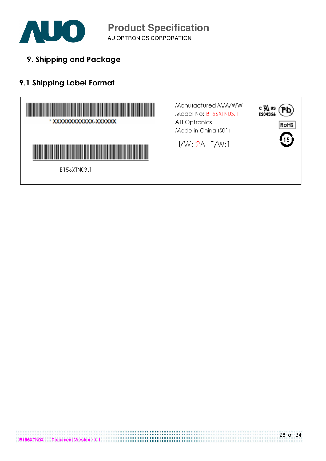

9. Shipping and Package

## 9.1 Shipping Label Format

**B156XTN03.1 Document Version : 1.1**



28 of 34

P

RoHS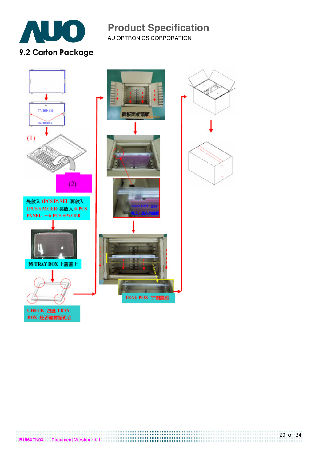

AU OPTRONICS CORPORATION

## 9.2 Carton Package



**B156XTN03.1 Document Version : 1.1**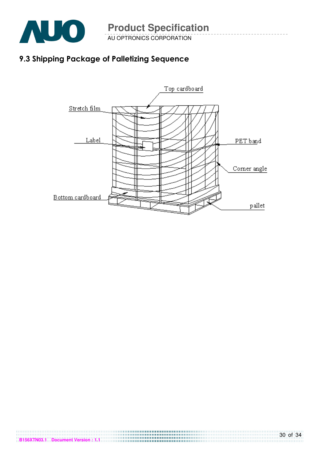

AU OPTRONICS CORPORATION

## 9.3 Shipping Package of Palletizing Sequence

**B156XTN03.1 Document Version : 1.1**

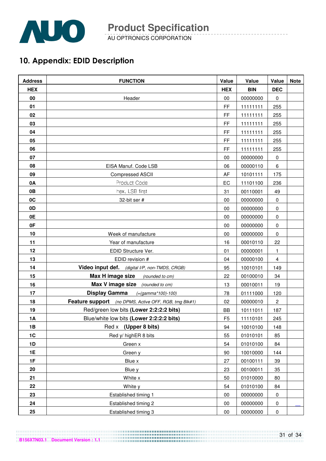

AU OPTRONICS CORPORATION

## 10. Appendix: EDID Description

| <b>Address</b> | <b>FUNCTION</b>                                       | Value          | Value      | Value        | <b>Note</b> |
|----------------|-------------------------------------------------------|----------------|------------|--------------|-------------|
| <b>HEX</b>     |                                                       | <b>HEX</b>     | <b>BIN</b> | <b>DEC</b>   |             |
| 00             | Header                                                | 00             | 00000000   | 0            |             |
| 01             |                                                       | FF             | 11111111   | 255          |             |
| 02             |                                                       | FF             | 11111111   | 255          |             |
| 03             |                                                       | FF             | 11111111   | 255          |             |
| 04             |                                                       | FF             | 11111111   | 255          |             |
| 05             |                                                       | FF             | 11111111   | 255          |             |
| 06             |                                                       | FF             | 11111111   | 255          |             |
| 07             |                                                       | 00             | 00000000   | 0            |             |
| 08             | EISA Manuf. Code LSB                                  | 06             | 00000110   | 6            |             |
| 09             | <b>Compressed ASCII</b>                               | AF             | 10101111   | 175          |             |
| 0A             | Product Code                                          | EC             | 11101100   | 236          |             |
| 0B             | hex, LSB first                                        | 31             | 00110001   | 49           |             |
| 0C             | 32-bit ser #                                          | 00             | 00000000   | $\mathbf 0$  |             |
| 0D             |                                                       | 00             | 00000000   | $\mathbf 0$  |             |
| 0E             |                                                       | 00             | 00000000   | $\mathbf 0$  |             |
| 0F             |                                                       | 00             | 00000000   | 0            |             |
| 10             | Week of manufacture                                   | 00             | 00000000   | 0            |             |
| 11             | Year of manufacture                                   | 16             | 00010110   | 22           |             |
| 12             | EDID Structure Ver.                                   | 01             | 00000001   | 1            |             |
| 13             | EDID revision #                                       | 04             | 00000100   | 4            |             |
| 14             | Video input def. (digital I/P, non-TMDS, CRGB)        | 95             | 10010101   | 149          |             |
| 15             | Max H image size<br>(rounded to cm)                   | 22             | 00100010   | 34           |             |
| 16             | Max V image size (rounded to cm)                      | 13             | 00010011   | 19           |             |
| 17             | <b>Display Gamma</b><br>$( = (gamma * 100) - 100)$    | 78             | 01111000   | 120          |             |
| 18             | Feature support (no DPMS, Active OFF, RGB, tmg Blk#1) | 02             | 00000010   | $\mathbf{2}$ |             |
| 19             | Red/green low bits (Lower 2:2:2:2 bits)               | BB             | 10111011   | 187          |             |
| <b>1A</b>      | Blue/white low bits (Lower 2:2:2:2 bits)              | F <sub>5</sub> | 11110101   | 245          |             |
| 1B             | Red x (Upper 8 bits)                                  | 94             | 10010100   | 148          |             |
| 1C             | Red y/ highER 8 bits                                  | 55             | 01010101   | 85           |             |
| 1D             | Green x                                               | 54             | 01010100   | 84           |             |
| 1E             | Green y                                               | 90             | 10010000   | 144          |             |
| 1F             | Blue x                                                | 27             | 00100111   | 39           |             |
| 20             | Blue y                                                | 23             | 00100011   | 35           |             |
| 21             | White x                                               | 50             | 01010000   | 80           |             |
| 22             | White y                                               | 54             | 01010100   | 84           |             |
| 23             | Established timing 1                                  | 00             | 00000000   | $\pmb{0}$    |             |
| 24             | Established timing 2                                  | $00\,$         | 00000000   | 0            |             |
| 25             | Established timing 3                                  | $00\,$         | 00000000   | $\pmb{0}$    |             |

**B156XTN03.1 Document Version : 1.1**

### 31 of 34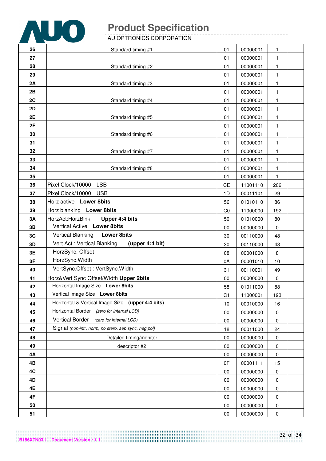

#### AU OPTRONICS CORPORATION

| 26 | Standard timing #1                                   | 01             | 00000001 | 1         |  |
|----|------------------------------------------------------|----------------|----------|-----------|--|
| 27 |                                                      | 01             | 00000001 | 1         |  |
| 28 | Standard timing #2                                   | 01             | 00000001 | 1         |  |
| 29 |                                                      | 01             | 00000001 | 1         |  |
| 2A | Standard timing #3                                   | 01             | 00000001 | 1         |  |
| 2B |                                                      | 01             | 00000001 | 1         |  |
| 2C | Standard timing #4                                   | 01             | 00000001 | 1         |  |
| 2D |                                                      | 01             | 00000001 | 1         |  |
| 2E | Standard timing #5                                   | 01             | 00000001 | 1         |  |
| 2F |                                                      | 01             | 00000001 | 1         |  |
| 30 | Standard timing #6                                   | 01             | 00000001 | 1         |  |
| 31 |                                                      | 01             | 00000001 | 1         |  |
| 32 | Standard timing #7                                   | 01             | 00000001 | 1         |  |
| 33 |                                                      | 01             | 00000001 | 1         |  |
| 34 | Standard timing #8                                   | 01             | 00000001 | 1         |  |
| 35 |                                                      | 01             | 00000001 | 1         |  |
| 36 | <b>LSB</b><br>Pixel Clock/10000                      | <b>CE</b>      | 11001110 | 206       |  |
| 37 | Pixel Clock/10000<br><b>USB</b>                      | 1D             | 00011101 | 29        |  |
| 38 | Horz active Lower 8bits                              | 56             | 01010110 | 86        |  |
| 39 | Horz blanking Lower 8bits                            | CO             | 11000000 | 192       |  |
| 3A | HorzAct:HorzBlnk<br>Upper 4:4 bits                   | 50             | 01010000 | 80        |  |
| 3B | <b>Vertical Active</b><br><b>Lower 8bits</b>         | 00             | 00000000 | 0         |  |
| 3C | <b>Vertical Blanking</b><br><b>Lower 8bits</b>       | 30             | 00110000 | 48        |  |
| 3D | Vert Act: Vertical Blanking<br>(upper 4:4 bit)       | 30             | 00110000 | 48        |  |
| 3E | HorzSync. Offset                                     | 08             | 00001000 | 8         |  |
| 3F | HorzSync. Width                                      | 0A             | 00001010 | 10        |  |
| 40 | VertSync.Offset: VertSync.Width                      | 31             | 00110001 | 49        |  |
| 41 | Horz‖ Sync Offset/Width Upper 2bits                  | 00             | 00000000 | 0         |  |
| 42 | Horizontal Image Size Lower 8bits                    | 58             | 01011000 | 88        |  |
| 43 | Vertical Image Size Lower 8bits                      | C <sub>1</sub> | 11000001 | 193       |  |
| 44 | Horizontal & Vertical Image Size (upper 4:4 bits)    | 10             | 00010000 | 16        |  |
| 45 | Horizontal Border<br>(zero for internal LCD)         | 00             | 00000000 | 0         |  |
| 46 | <b>Vertical Border</b><br>(zero for internal LCD)    | 00             | 00000000 | 0         |  |
| 47 | Signal (non-intr, norm, no stero, sep sync, neg pol) | 18             | 00011000 | 24        |  |
| 48 | Detailed timing/monitor                              | 00             | 00000000 | 0         |  |
| 49 | descriptor #2                                        | 00             | 00000000 | 0         |  |
| 4Α |                                                      | 00             | 00000000 | 0         |  |
| 4B |                                                      | 0F             | 00001111 | 15        |  |
| 4C |                                                      | 00             | 00000000 | 0         |  |
| 4D |                                                      | $00\,$         | 00000000 | 0         |  |
| 4E |                                                      | 00             | 00000000 | 0         |  |
| 4F |                                                      | 00             | 00000000 | 0         |  |
| 50 |                                                      | 00             | 00000000 | 0         |  |
| 51 |                                                      | $00\,$         | 00000000 | $\pmb{0}$ |  |

32 of 34 **B156XTN03.1 Document Version : 1.1**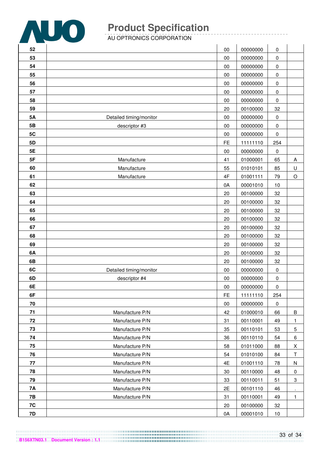

AU OPTRONICS CORPORATION

| 52        |                         | $00\,$    | 00000000 | 0         |                |
|-----------|-------------------------|-----------|----------|-----------|----------------|
| 53        |                         | 00        | 00000000 | 0         |                |
| 54        |                         | $00\,$    | 00000000 | 0         |                |
| 55        |                         | $00\,$    | 00000000 | 0         |                |
| 56        |                         | 00        | 00000000 | $\pmb{0}$ |                |
| 57        |                         | $00\,$    | 00000000 | 0         |                |
| 58        |                         | $00\,$    | 00000000 | 0         |                |
| 59        |                         | 20        | 00100000 | 32        |                |
| 5A        | Detailed timing/monitor | $00\,$    | 00000000 | $\pmb{0}$ |                |
| 5B        | descriptor #3           | $00\,$    | 00000000 | $\pmb{0}$ |                |
| 5C        |                         | $00\,$    | 00000000 | $\pmb{0}$ |                |
| 5D        |                         | FE        | 11111110 | 254       |                |
| 5E        |                         | $00\,$    | 00000000 | 0         |                |
| 5F        | Manufacture             | 41        | 01000001 | 65        | A              |
| 60        | Manufacture             | 55        | 01010101 | 85        | U              |
| 61        | Manufacture             | 4F        | 01001111 | 79        | $\circ$        |
| 62        |                         | 0A        | 00001010 | 10        |                |
| 63        |                         | 20        | 00100000 | 32        |                |
| 64        |                         | 20        | 00100000 | 32        |                |
| 65        |                         | 20        | 00100000 | 32        |                |
| 66        |                         | 20        | 00100000 | 32        |                |
| 67        |                         | 20        | 00100000 | 32        |                |
| 68        |                         | 20        | 00100000 | 32        |                |
| 69        |                         | 20        | 00100000 | 32        |                |
| 6A        |                         | 20        | 00100000 | 32        |                |
| 6B        |                         | 20        | 00100000 | 32        |                |
| 6C        | Detailed timing/monitor | $00\,$    | 00000000 | 0         |                |
| 6D        | descriptor #4           | $00\,$    | 00000000 | 0         |                |
| 6E        |                         | 00        | 00000000 | 0         |                |
| 6F        |                         | <b>FE</b> | 11111110 | 254       |                |
| 70        |                         | $00\,$    | 00000000 | $\pmb{0}$ |                |
| 71        | Manufacture P/N         | 42        | 01000010 | 66        | $\, {\bf B}$   |
| 72        | Manufacture P/N         | 31        | 00110001 | 49        | 1              |
| 73        | Manufacture P/N         | 35        | 00110101 | 53        | $\overline{5}$ |
| 74        | Manufacture P/N         | 36        | 00110110 | 54        | 6              |
| 75        | Manufacture P/N         | 58        | 01011000 | 88        | Χ              |
| 76        | Manufacture P/N         | 54        | 01010100 | 84        | Τ              |
| 77        | Manufacture P/N         | 4E        | 01001110 | 78        | ${\sf N}$      |
| 78        | Manufacture P/N         | 30        | 00110000 | 48        | 0              |
| 79        | Manufacture P/N         | 33        | 00110011 | 51        | 3              |
| <b>7A</b> | Manufacture P/N         | 2E        | 00101110 | 46        | $\blacksquare$ |
| 7B        | Manufacture P/N         | 31        | 00110001 | 49        | $\mathbf{1}$   |
| 7C        |                         | 20        | 00100000 | 32        |                |
| 7D        |                         | 0A        | 00001010 | 10        |                |

**B156XTN03.1 Document Version : 1.1**